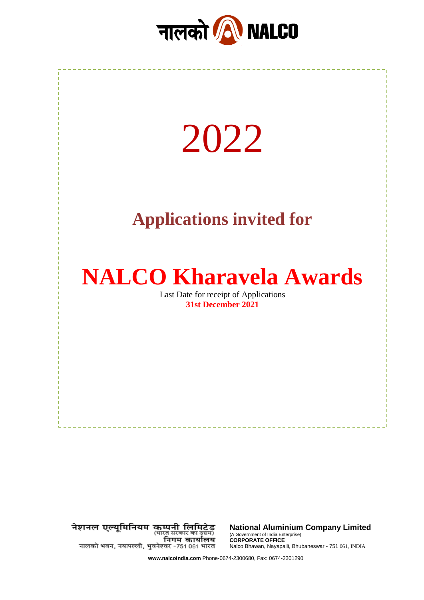



नेशनल एल्यूमिनियम कम्पनी लिमिटेड<br>(भारत सकार का उद्यम) निगम कार्यालय नालको भवन, नयापल्ली, भुवनेश्वर -751 061 भारत

**National Aluminium Company Limited** (A Government of India Enterprise) **CORPORATE OFFICE** Nalco Bhawan, Nayapalli, Bhubaneswar - 751 061, INDIA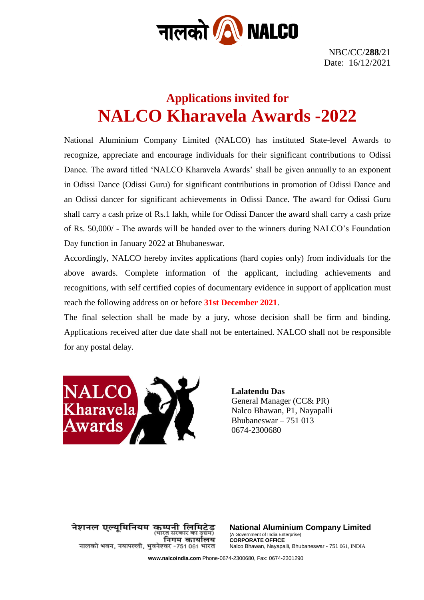

NBC/CC/**288**/21 Date: 16/12/2021

# **Applications invited for NALCO Kharavela Awards -2022**

National Aluminium Company Limited (NALCO) has instituted State-level Awards to recognize, appreciate and encourage individuals for their significant contributions to Odissi Dance. The award titled 'NALCO Kharavela Awards' shall be given annually to an exponent in Odissi Dance (Odissi Guru) for significant contributions in promotion of Odissi Dance and an Odissi dancer for significant achievements in Odissi Dance. The award for Odissi Guru shall carry a cash prize of Rs.1 lakh, while for Odissi Dancer the award shall carry a cash prize of Rs. 50,000/ - The awards will be handed over to the winners during NALCO's Foundation Day function in January 2022 at Bhubaneswar.

Accordingly, NALCO hereby invites applications (hard copies only) from individuals for the above awards. Complete information of the applicant, including achievements and recognitions, with self certified copies of documentary evidence in support of application must reach the following address on or before **31st December 2021**.

The final selection shall be made by a jury, whose decision shall be firm and binding. Applications received after due date shall not be entertained. NALCO shall not be responsible for any postal delay.



**Lalatendu Das** General Manager (CC& PR) Nalco Bhawan, P1, Nayapalli Bhubaneswar – 751 013 0674-2300680

नेशनल एल्युमिनियम कम्पनी लिमिटेड (भारत सरकार का उद्यम) निगम कार्यालय नालको भवन, नयापल्ली, भुवनेश्वर -751 061 भारत

**National Aluminium Company Limited** (A Government of India Enterprise) **CORPORATE OFFICE** Nalco Bhawan, Nayapalli, Bhubaneswar - 751 061, INDIA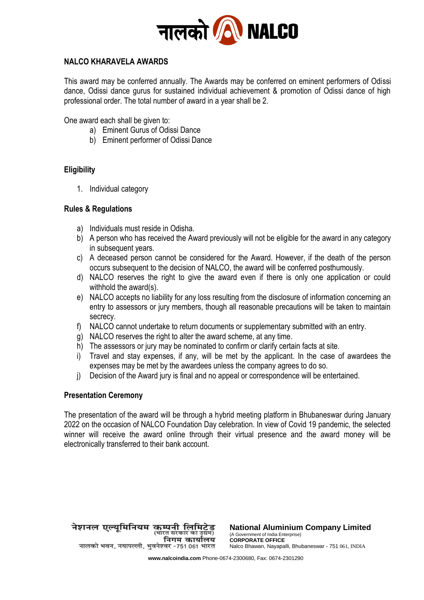

## **NALCO KHARAVELA AWARDS**

This award may be conferred annually. The Awards may be conferred on eminent performers of Odissi dance, Odissi dance gurus for sustained individual achievement & promotion of Odissi dance of high professional order. The total number of award in a year shall be 2.

One award each shall be given to:

- a) Eminent Gurus of Odissi Dance
- b) Eminent performer of Odissi Dance

## **Eligibility**

1. Individual category

#### **Rules & Regulations**

- a) Individuals must reside in Odisha.
- b) A person who has received the Award previously will not be eligible for the award in any category in subsequent years.
- c) A deceased person cannot be considered for the Award. However, if the death of the person occurs subsequent to the decision of NALCO, the award will be conferred posthumously.
- d) NALCO reserves the right to give the award even if there is only one application or could withhold the award(s).
- e) NALCO accepts no liability for any loss resulting from the disclosure of information concerning an entry to assessors or jury members, though all reasonable precautions will be taken to maintain secrecy.
- f) NALCO cannot undertake to return documents or supplementary submitted with an entry.
- g) NALCO reserves the right to alter the award scheme, at any time.
- h) The assessors or jury may be nominated to confirm or clarify certain facts at site.
- i) Travel and stay expenses, if any, will be met by the applicant. In the case of awardees the expenses may be met by the awardees unless the company agrees to do so.
- j) Decision of the Award jury is final and no appeal or correspondence will be entertained.

#### **Presentation Ceremony**

The presentation of the award will be through a hybrid meeting platform in Bhubaneswar during January 2022 on the occasion of NALCO Foundation Day celebration. In view of Covid 19 pandemic, the selected winner will receive the award online through their virtual presence and the award money will be electronically transferred to their bank account.

नेशनल एल्यूमिनियम कम्पनी लिमिटेड<br>भारत सरकार का उधन) निगम कार्यालय नालको भवन, नयापल्ली, भुवनेश्वर -751 061 भारत

**National Aluminium Company Limited** (A Government of India Enterprise) **CORPORATE OFFICE** Nalco Bhawan, Nayapalli, Bhubaneswar - 751 061, INDIA